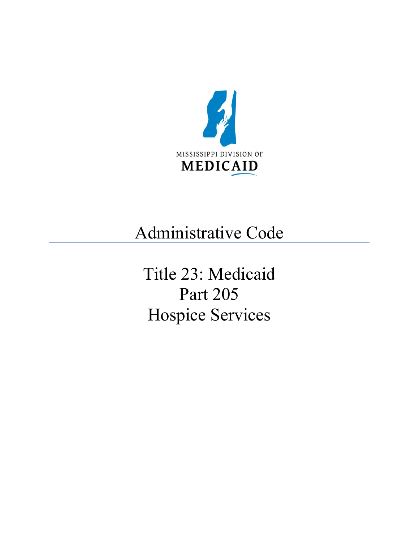

# Administrative Code

Title 23: Medicaid Part 205 Hospice Services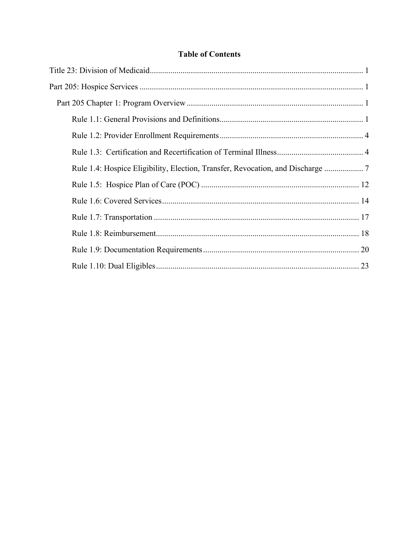## **Table of Contents**

| Rule 1.4: Hospice Eligibility, Election, Transfer, Revocation, and Discharge |
|------------------------------------------------------------------------------|
|                                                                              |
|                                                                              |
|                                                                              |
|                                                                              |
|                                                                              |
|                                                                              |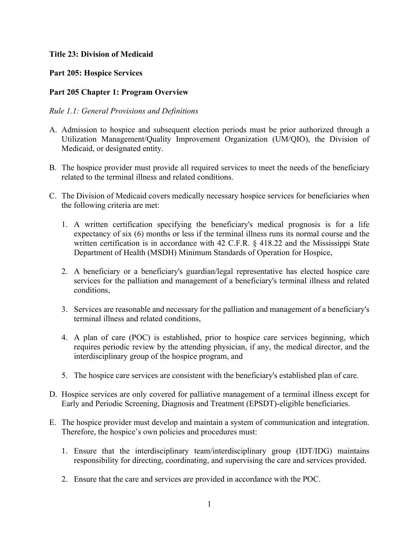## <span id="page-2-0"></span>**Title 23: Division of Medicaid**

## <span id="page-2-1"></span>**Part 205: Hospice Services**

## <span id="page-2-2"></span>**Part 205 Chapter 1: Program Overview**

### <span id="page-2-3"></span>*Rule 1.1: General Provisions and Definitions*

- A. Admission to hospice and subsequent election periods must be prior authorized through a Utilization Management/Quality Improvement Organization (UM/QIO), the Division of Medicaid, or designated entity.
- B. The hospice provider must provide all required services to meet the needs of the beneficiary related to the terminal illness and related conditions.
- C. The Division of Medicaid covers medically necessary hospice services for beneficiaries when the following criteria are met:
	- 1. A written certification specifying the beneficiary's medical prognosis is for a life expectancy of six (6) months or less if the terminal illness runs its normal course and the written certification is in accordance with 42 C.F.R. § 418.22 and the Mississippi State Department of Health (MSDH) Minimum Standards of Operation for Hospice,
	- 2. A beneficiary or a beneficiary's guardian/legal representative has elected hospice care services for the palliation and management of a beneficiary's terminal illness and related conditions,
	- 3. Services are reasonable and necessary for the palliation and management of a beneficiary's terminal illness and related conditions,
	- 4. A plan of care (POC) is established, prior to hospice care services beginning, which requires periodic review by the attending physician, if any, the medical director, and the interdisciplinary group of the hospice program, and
	- 5. The hospice care services are consistent with the beneficiary's established plan of care.
- D. Hospice services are only covered for palliative management of a terminal illness except for Early and Periodic Screening, Diagnosis and Treatment (EPSDT)-eligible beneficiaries.
- E. The hospice provider must develop and maintain a system of communication and integration. Therefore, the hospice's own policies and procedures must:
	- 1. Ensure that the interdisciplinary team/interdisciplinary group (IDT/IDG) maintains responsibility for directing, coordinating, and supervising the care and services provided.
	- 2. Ensure that the care and services are provided in accordance with the POC.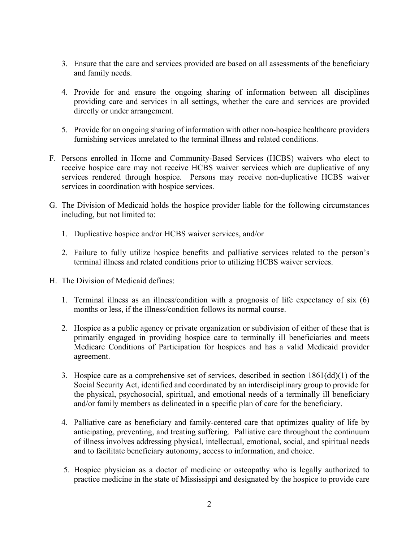- 3. Ensure that the care and services provided are based on all assessments of the beneficiary and family needs.
- 4. Provide for and ensure the ongoing sharing of information between all disciplines providing care and services in all settings, whether the care and services are provided directly or under arrangement.
- 5. Provide for an ongoing sharing of information with other non-hospice healthcare providers furnishing services unrelated to the terminal illness and related conditions.
- F. Persons enrolled in Home and Community-Based Services (HCBS) waivers who elect to receive hospice care may not receive HCBS waiver services which are duplicative of any services rendered through hospice. Persons may receive non-duplicative HCBS waiver services in coordination with hospice services.
- G. The Division of Medicaid holds the hospice provider liable for the following circumstances including, but not limited to:
	- 1. Duplicative hospice and/or HCBS waiver services, and/or
	- 2. Failure to fully utilize hospice benefits and palliative services related to the person's terminal illness and related conditions prior to utilizing HCBS waiver services.
- H. The Division of Medicaid defines:
	- 1. Terminal illness as an illness/condition with a prognosis of life expectancy of six (6) months or less, if the illness/condition follows its normal course.
	- 2. Hospice as a public agency or private organization or subdivision of either of these that is primarily engaged in providing hospice care to terminally ill beneficiaries and meets Medicare Conditions of Participation for hospices and has a valid Medicaid provider agreement.
	- 3. Hospice care as a comprehensive set of services, described in section 1861(dd)(1) of the Social Security Act, identified and coordinated by an interdisciplinary group to provide for the physical, psychosocial, spiritual, and emotional needs of a terminally ill beneficiary and/or family members as delineated in a specific plan of care for the beneficiary.
	- 4. Palliative care as beneficiary and family-centered care that optimizes quality of life by anticipating, preventing, and treating suffering. Palliative care throughout the continuum of illness involves addressing physical, intellectual, emotional, social, and spiritual needs and to facilitate beneficiary autonomy, access to information, and choice.
	- 5. Hospice physician as a doctor of medicine or osteopathy who is legally authorized to practice medicine in the state of Mississippi and designated by the hospice to provide care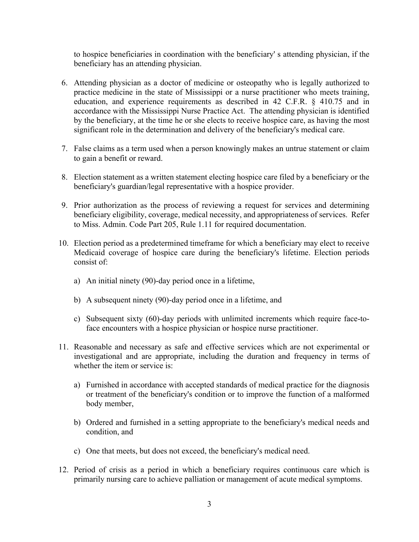to hospice beneficiaries in coordination with the beneficiary' s attending physician, if the beneficiary has an attending physician.

- 6. Attending physician as a doctor of medicine or osteopathy who is legally authorized to practice medicine in the state of Mississippi or a nurse practitioner who meets training, education, and experience requirements as described in 42 C.F.R. § 410.75 and in accordance with the Mississippi Nurse Practice Act. The attending physician is identified by the beneficiary, at the time he or she elects to receive hospice care, as having the most significant role in the determination and delivery of the beneficiary's medical care.
- 7. False claims as a term used when a person knowingly makes an untrue statement or claim to gain a benefit or reward.
- 8. Election statement as a written statement electing hospice care filed by a beneficiary or the beneficiary's guardian/legal representative with a hospice provider.
- 9. Prior authorization as the process of reviewing a request for services and determining beneficiary eligibility, coverage, medical necessity, and appropriateness of services. Refer to Miss. Admin. Code Part 205, Rule 1.11 for required documentation.
- 10. Election period as a predetermined timeframe for which a beneficiary may elect to receive Medicaid coverage of hospice care during the beneficiary's lifetime. Election periods consist of:
	- a) An initial ninety (90)-day period once in a lifetime,
	- b) A subsequent ninety (90)-day period once in a lifetime, and
	- c) Subsequent sixty (60)-day periods with unlimited increments which require face-toface encounters with a hospice physician or hospice nurse practitioner.
- 11. Reasonable and necessary as safe and effective services which are not experimental or investigational and are appropriate, including the duration and frequency in terms of whether the item or service is:
	- a) Furnished in accordance with accepted standards of medical practice for the diagnosis or treatment of the beneficiary's condition or to improve the function of a malformed body member,
	- b) Ordered and furnished in a setting appropriate to the beneficiary's medical needs and condition, and
	- c) One that meets, but does not exceed, the beneficiary's medical need.
- 12. Period of crisis as a period in which a beneficiary requires continuous care which is primarily nursing care to achieve palliation or management of acute medical symptoms.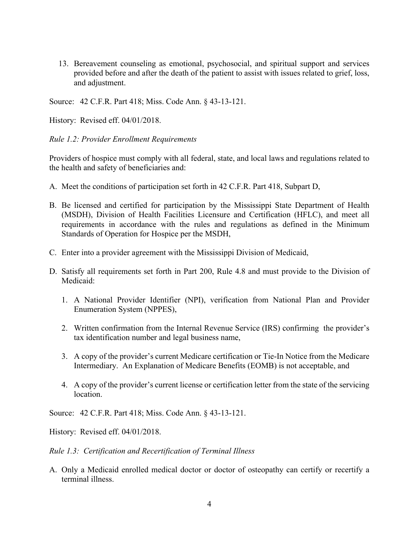13. Bereavement counseling as emotional, psychosocial, and spiritual support and services provided before and after the death of the patient to assist with issues related to grief, loss, and adjustment.

Source: 42 C.F.R. Part 418; Miss. Code Ann. § 43-13-121.

History: Revised eff. 04/01/2018.

<span id="page-5-0"></span>*Rule 1.2: Provider Enrollment Requirements*

Providers of hospice must comply with all federal, state, and local laws and regulations related to the health and safety of beneficiaries and:

- A. Meet the conditions of participation set forth in 42 C.F.R. Part 418, Subpart D,
- B. Be licensed and certified for participation by the Mississippi State Department of Health (MSDH), Division of Health Facilities Licensure and Certification (HFLC), and meet all requirements in accordance with the rules and regulations as defined in the Minimum Standards of Operation for Hospice per the MSDH,
- C. Enter into a provider agreement with the Mississippi Division of Medicaid,
- D. Satisfy all requirements set forth in Part 200, Rule 4.8 and must provide to the Division of Medicaid:
	- 1. A National Provider Identifier (NPI), verification from National Plan and Provider Enumeration System (NPPES),
	- 2. Written confirmation from the Internal Revenue Service (IRS) confirming the provider's tax identification number and legal business name,
	- 3. A copy of the provider's current Medicare certification or Tie-In Notice from the Medicare Intermediary. An Explanation of Medicare Benefits (EOMB) is not acceptable, and
	- 4. A copy of the provider's current license or certification letter from the state of the servicing location.

Source: 42 C.F.R. Part 418; Miss. Code Ann. § 43-13-121.

History: Revised eff. 04/01/2018.

<span id="page-5-1"></span>*Rule 1.3: Certification and Recertification of Terminal Illness*

A. Only a Medicaid enrolled medical doctor or doctor of osteopathy can certify or recertify a terminal illness.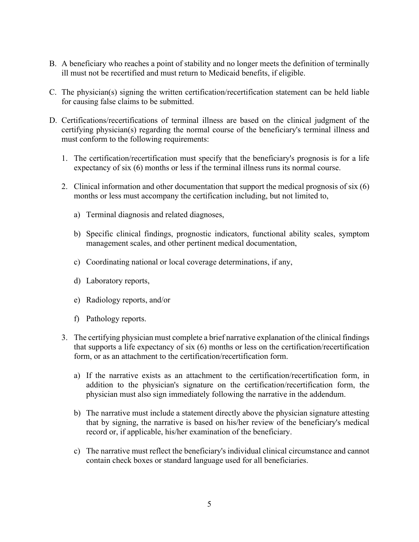- B. A beneficiary who reaches a point of stability and no longer meets the definition of terminally ill must not be recertified and must return to Medicaid benefits, if eligible.
- C. The physician(s) signing the written certification/recertification statement can be held liable for causing false claims to be submitted.
- D. Certifications/recertifications of terminal illness are based on the clinical judgment of the certifying physician(s) regarding the normal course of the beneficiary's terminal illness and must conform to the following requirements:
	- 1. The certification/recertification must specify that the beneficiary's prognosis is for a life expectancy of six (6) months or less if the terminal illness runs its normal course.
	- 2. Clinical information and other documentation that support the medical prognosis of six (6) months or less must accompany the certification including, but not limited to,
		- a) Terminal diagnosis and related diagnoses,
		- b) Specific clinical findings, prognostic indicators, functional ability scales, symptom management scales, and other pertinent medical documentation,
		- c) Coordinating national or local coverage determinations, if any,
		- d) Laboratory reports,
		- e) Radiology reports, and/or
		- f) Pathology reports.
	- 3. The certifying physician must complete a brief narrative explanation of the clinical findings that supports a life expectancy of six (6) months or less on the certification/recertification form, or as an attachment to the certification/recertification form.
		- a) If the narrative exists as an attachment to the certification/recertification form, in addition to the physician's signature on the certification/recertification form, the physician must also sign immediately following the narrative in the addendum.
		- b) The narrative must include a statement directly above the physician signature attesting that by signing, the narrative is based on his/her review of the beneficiary's medical record or, if applicable, his/her examination of the beneficiary.
		- c) The narrative must reflect the beneficiary's individual clinical circumstance and cannot contain check boxes or standard language used for all beneficiaries.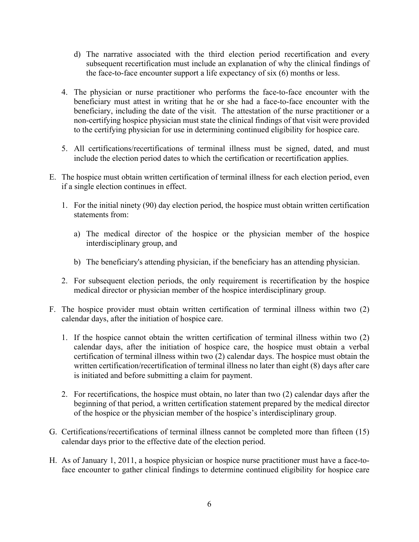- d) The narrative associated with the third election period recertification and every subsequent recertification must include an explanation of why the clinical findings of the face-to-face encounter support a life expectancy of six (6) months or less.
- 4. The physician or nurse practitioner who performs the face-to-face encounter with the beneficiary must attest in writing that he or she had a face-to-face encounter with the beneficiary, including the date of the visit. The attestation of the nurse practitioner or a non-certifying hospice physician must state the clinical findings of that visit were provided to the certifying physician for use in determining continued eligibility for hospice care.
- 5. All certifications/recertifications of terminal illness must be signed, dated, and must include the election period dates to which the certification or recertification applies.
- E. The hospice must obtain written certification of terminal illness for each election period, even if a single election continues in effect.
	- 1. For the initial ninety (90) day election period, the hospice must obtain written certification statements from:
		- a) The medical director of the hospice or the physician member of the hospice interdisciplinary group, and
		- b) The beneficiary's attending physician, if the beneficiary has an attending physician.
	- 2. For subsequent election periods, the only requirement is recertification by the hospice medical director or physician member of the hospice interdisciplinary group.
- F. The hospice provider must obtain written certification of terminal illness within two (2) calendar days, after the initiation of hospice care.
	- 1. If the hospice cannot obtain the written certification of terminal illness within two (2) calendar days, after the initiation of hospice care, the hospice must obtain a verbal certification of terminal illness within two (2) calendar days. The hospice must obtain the written certification/recertification of terminal illness no later than eight (8) days after care is initiated and before submitting a claim for payment.
	- 2. For recertifications, the hospice must obtain, no later than two (2) calendar days after the beginning of that period, a written certification statement prepared by the medical director of the hospice or the physician member of the hospice's interdisciplinary group.
- G. Certifications/recertifications of terminal illness cannot be completed more than fifteen (15) calendar days prior to the effective date of the election period.
- H. As of January 1, 2011, a hospice physician or hospice nurse practitioner must have a face-toface encounter to gather clinical findings to determine continued eligibility for hospice care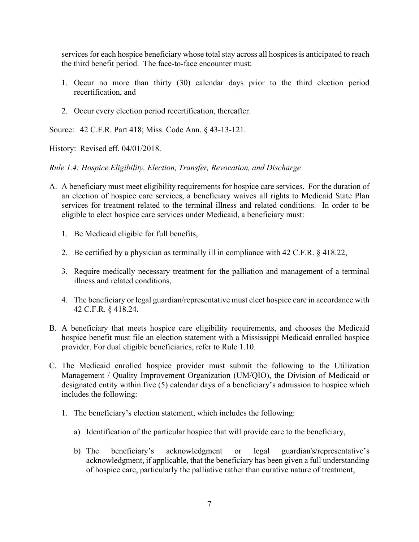services for each hospice beneficiary whose total stay across all hospices is anticipated to reach the third benefit period. The face-to-face encounter must:

- 1. Occur no more than thirty (30) calendar days prior to the third election period recertification, and
- 2. Occur every election period recertification, thereafter.

Source: 42 C.F.R. Part 418; Miss. Code Ann. § 43-13-121.

History: Revised eff. 04/01/2018.

<span id="page-8-0"></span>*Rule 1.4: Hospice Eligibility, Election, Transfer, Revocation, and Discharge*

- A. A beneficiary must meet eligibility requirements for hospice care services. For the duration of an election of hospice care services, a beneficiary waives all rights to Medicaid State Plan services for treatment related to the terminal illness and related conditions. In order to be eligible to elect hospice care services under Medicaid, a beneficiary must:
	- 1. Be Medicaid eligible for full benefits,
	- 2. Be certified by a physician as terminally ill in compliance with 42 C.F.R. § 418.22,
	- 3. Require medically necessary treatment for the palliation and management of a terminal illness and related conditions,
	- 4. The beneficiary or legal guardian/representative must elect hospice care in accordance with 42 C.F.R. § 418.24.
- B. A beneficiary that meets hospice care eligibility requirements, and chooses the Medicaid hospice benefit must file an election statement with a Mississippi Medicaid enrolled hospice provider. For dual eligible beneficiaries, refer to Rule 1.10.
- C. The Medicaid enrolled hospice provider must submit the following to the Utilization Management / Quality Improvement Organization (UM/QIO), the Division of Medicaid or designated entity within five (5) calendar days of a beneficiary's admission to hospice which includes the following:
	- 1. The beneficiary's election statement, which includes the following:
		- a) Identification of the particular hospice that will provide care to the beneficiary,
		- b) The beneficiary's acknowledgment or legal guardian's/representative's acknowledgment, if applicable, that the beneficiary has been given a full understanding of hospice care, particularly the palliative rather than curative nature of treatment,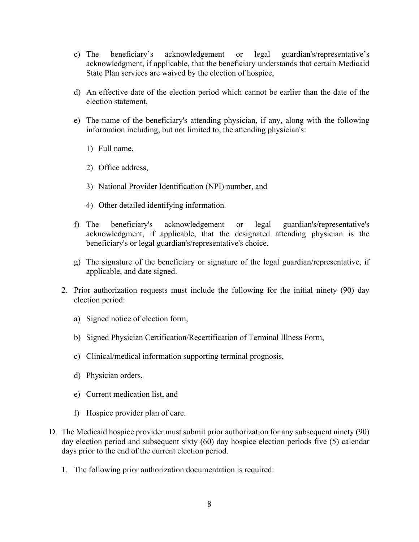- c) The beneficiary's acknowledgement or legal guardian's/representative's acknowledgment, if applicable, that the beneficiary understands that certain Medicaid State Plan services are waived by the election of hospice,
- d) An effective date of the election period which cannot be earlier than the date of the election statement,
- e) The name of the beneficiary's attending physician, if any, along with the following information including, but not limited to, the attending physician's:
	- 1) Full name,
	- 2) Office address,
	- 3) National Provider Identification (NPI) number, and
	- 4) Other detailed identifying information.
- f) The beneficiary's acknowledgement or legal guardian's/representative's acknowledgment, if applicable, that the designated attending physician is the beneficiary's or legal guardian's/representative's choice.
- g) The signature of the beneficiary or signature of the legal guardian/representative, if applicable, and date signed.
- 2. Prior authorization requests must include the following for the initial ninety (90) day election period:
	- a) Signed notice of election form,
	- b) Signed Physician Certification/Recertification of Terminal Illness Form,
	- c) Clinical/medical information supporting terminal prognosis,
	- d) Physician orders,
	- e) Current medication list, and
	- f) Hospice provider plan of care.
- D. The Medicaid hospice provider must submit prior authorization for any subsequent ninety (90) day election period and subsequent sixty (60) day hospice election periods five (5) calendar days prior to the end of the current election period.
	- 1. The following prior authorization documentation is required: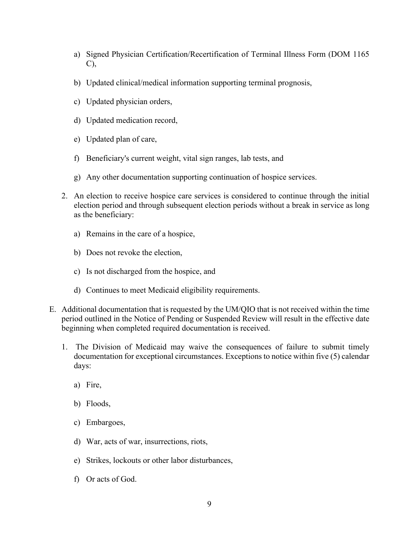- a) Signed Physician Certification/Recertification of Terminal Illness Form (DOM 1165 C),
- b) Updated clinical/medical information supporting terminal prognosis,
- c) Updated physician orders,
- d) Updated medication record,
- e) Updated plan of care,
- f) Beneficiary's current weight, vital sign ranges, lab tests, and
- g) Any other documentation supporting continuation of hospice services.
- 2. An election to receive hospice care services is considered to continue through the initial election period and through subsequent election periods without a break in service as long as the beneficiary:
	- a) Remains in the care of a hospice,
	- b) Does not revoke the election,
	- c) Is not discharged from the hospice, and
	- d) Continues to meet Medicaid eligibility requirements.
- E. Additional documentation that is requested by the UM/QIO that is not received within the time period outlined in the Notice of Pending or Suspended Review will result in the effective date beginning when completed required documentation is received.
	- 1. The Division of Medicaid may waive the consequences of failure to submit timely documentation for exceptional circumstances. Exceptions to notice within five (5) calendar days:
		- a) Fire,
		- b) Floods,
		- c) Embargoes,
		- d) War, acts of war, insurrections, riots,
		- e) Strikes, lockouts or other labor disturbances,
		- f) Or acts of God.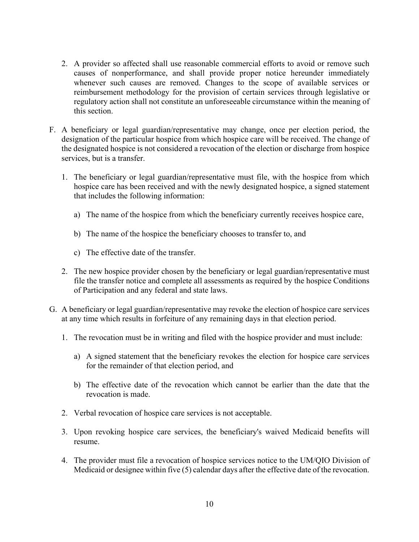- 2. A provider so affected shall use reasonable commercial efforts to avoid or remove such causes of nonperformance, and shall provide proper notice hereunder immediately whenever such causes are removed. Changes to the scope of available services or reimbursement methodology for the provision of certain services through legislative or regulatory action shall not constitute an unforeseeable circumstance within the meaning of this section.
- F. A beneficiary or legal guardian/representative may change, once per election period, the designation of the particular hospice from which hospice care will be received. The change of the designated hospice is not considered a revocation of the election or discharge from hospice services, but is a transfer.
	- 1. The beneficiary or legal guardian/representative must file, with the hospice from which hospice care has been received and with the newly designated hospice, a signed statement that includes the following information:
		- a) The name of the hospice from which the beneficiary currently receives hospice care,
		- b) The name of the hospice the beneficiary chooses to transfer to, and
		- c) The effective date of the transfer.
	- 2. The new hospice provider chosen by the beneficiary or legal guardian/representative must file the transfer notice and complete all assessments as required by the hospice Conditions of Participation and any federal and state laws.
- G. A beneficiary or legal guardian/representative may revoke the election of hospice care services at any time which results in forfeiture of any remaining days in that election period.
	- 1. The revocation must be in writing and filed with the hospice provider and must include:
		- a) A signed statement that the beneficiary revokes the election for hospice care services for the remainder of that election period, and
		- b) The effective date of the revocation which cannot be earlier than the date that the revocation is made.
	- 2. Verbal revocation of hospice care services is not acceptable.
	- 3. Upon revoking hospice care services, the beneficiary's waived Medicaid benefits will resume.
	- 4. The provider must file a revocation of hospice services notice to the UM/QIO Division of Medicaid or designee within five (5) calendar days after the effective date of the revocation.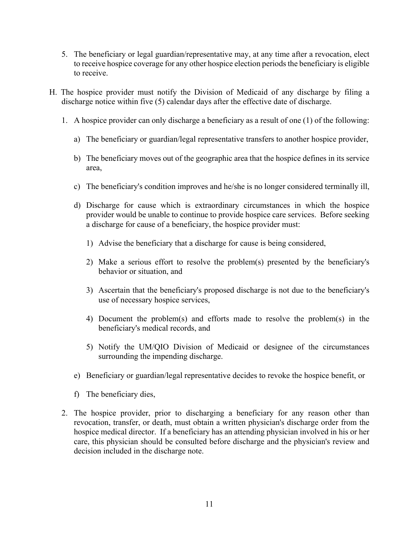- 5. The beneficiary or legal guardian/representative may, at any time after a revocation, elect to receive hospice coverage for any other hospice election periods the beneficiary is eligible to receive.
- H. The hospice provider must notify the Division of Medicaid of any discharge by filing a discharge notice within five (5) calendar days after the effective date of discharge.
	- 1. A hospice provider can only discharge a beneficiary as a result of one (1) of the following:
		- a) The beneficiary or guardian/legal representative transfers to another hospice provider,
		- b) The beneficiary moves out of the geographic area that the hospice defines in its service area,
		- c) The beneficiary's condition improves and he/she is no longer considered terminally ill,
		- d) Discharge for cause which is extraordinary circumstances in which the hospice provider would be unable to continue to provide hospice care services. Before seeking a discharge for cause of a beneficiary, the hospice provider must:
			- 1) Advise the beneficiary that a discharge for cause is being considered,
			- 2) Make a serious effort to resolve the problem(s) presented by the beneficiary's behavior or situation, and
			- 3) Ascertain that the beneficiary's proposed discharge is not due to the beneficiary's use of necessary hospice services,
			- 4) Document the problem(s) and efforts made to resolve the problem(s) in the beneficiary's medical records, and
			- 5) Notify the UM/QIO Division of Medicaid or designee of the circumstances surrounding the impending discharge.
		- e) Beneficiary or guardian/legal representative decides to revoke the hospice benefit, or
		- f) The beneficiary dies,
	- 2. The hospice provider, prior to discharging a beneficiary for any reason other than revocation, transfer, or death, must obtain a written physician's discharge order from the hospice medical director. If a beneficiary has an attending physician involved in his or her care, this physician should be consulted before discharge and the physician's review and decision included in the discharge note.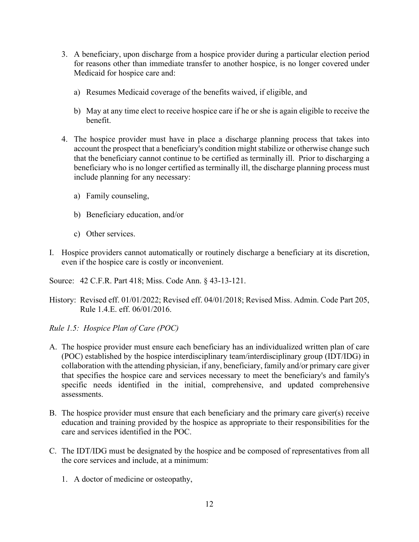- 3. A beneficiary, upon discharge from a hospice provider during a particular election period for reasons other than immediate transfer to another hospice, is no longer covered under Medicaid for hospice care and:
	- a) Resumes Medicaid coverage of the benefits waived, if eligible, and
	- b) May at any time elect to receive hospice care if he or she is again eligible to receive the benefit.
- 4. The hospice provider must have in place a discharge planning process that takes into account the prospect that a beneficiary's condition might stabilize or otherwise change such that the beneficiary cannot continue to be certified as terminally ill. Prior to discharging a beneficiary who is no longer certified as terminally ill, the discharge planning process must include planning for any necessary:
	- a) Family counseling,
	- b) Beneficiary education, and/or
	- c) Other services.
- I. Hospice providers cannot automatically or routinely discharge a beneficiary at its discretion, even if the hospice care is costly or inconvenient.
- Source: 42 C.F.R. Part 418; Miss. Code Ann. § 43-13-121.
- History: Revised eff. 01/01/2022; Revised eff. 04/01/2018; Revised Miss. Admin. Code Part 205, Rule 1.4.E. eff. 06/01/2016.
- <span id="page-13-0"></span>*Rule 1.5: Hospice Plan of Care (POC)*
- A. The hospice provider must ensure each beneficiary has an individualized written plan of care (POC) established by the hospice interdisciplinary team/interdisciplinary group (IDT/IDG) in collaboration with the attending physician, if any, beneficiary, family and/or primary care giver that specifies the hospice care and services necessary to meet the beneficiary's and family's specific needs identified in the initial, comprehensive, and updated comprehensive assessments.
- B. The hospice provider must ensure that each beneficiary and the primary care giver(s) receive education and training provided by the hospice as appropriate to their responsibilities for the care and services identified in the POC.
- C. The IDT/IDG must be designated by the hospice and be composed of representatives from all the core services and include, at a minimum:
	- 1. A doctor of medicine or osteopathy,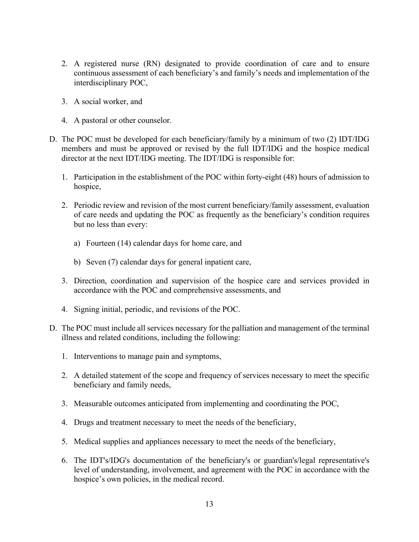- 2. A registered nurse (RN) designated to provide coordination of care and to ensure continuous assessment of each beneficiary's and family's needs and implementation of the interdisciplinary POC,
- 3. A social worker, and
- 4. A pastoral or other counselor.
- D. The POC must be developed for each beneficiary/family by a minimum of two (2) IDT/IDG members and must be approved or revised by the full IDT/IDG and the hospice medical director at the next IDT/IDG meeting. The IDT/IDG is responsible for:
	- 1. Participation in the establishment of the POC within forty-eight (48) hours of admission to hospice,
	- 2. Periodic review and revision of the most current beneficiary/family assessment, evaluation of care needs and updating the POC as frequently as the beneficiary's condition requires but no less than every:
		- a) Fourteen (14) calendar days for home care, and
		- b) Seven (7) calendar days for general inpatient care,
	- 3. Direction, coordination and supervision of the hospice care and services provided in accordance with the POC and comprehensive assessments, and
	- 4. Signing initial, periodic, and revisions of the POC.
- D. The POC must include all services necessary for the palliation and management of the terminal illness and related conditions, including the following:
	- 1. Interventions to manage pain and symptoms,
	- 2. A detailed statement of the scope and frequency of services necessary to meet the specific beneficiary and family needs,
	- 3. Measurable outcomes anticipated from implementing and coordinating the POC,
	- 4. Drugs and treatment necessary to meet the needs of the beneficiary,
	- 5. Medical supplies and appliances necessary to meet the needs of the beneficiary,
	- 6. The IDT's/IDG's documentation of the beneficiary's or guardian's/legal representative's level of understanding, involvement, and agreement with the POC in accordance with the hospice's own policies, in the medical record.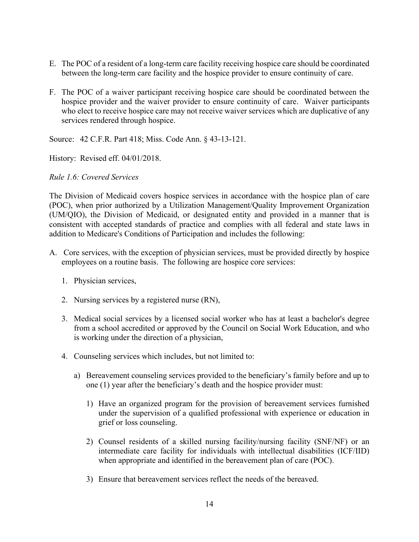- E. The POC of a resident of a long-term care facility receiving hospice care should be coordinated between the long-term care facility and the hospice provider to ensure continuity of care.
- F. The POC of a waiver participant receiving hospice care should be coordinated between the hospice provider and the waiver provider to ensure continuity of care. Waiver participants who elect to receive hospice care may not receive waiver services which are duplicative of any services rendered through hospice.

Source: 42 C.F.R. Part 418; Miss. Code Ann. § 43-13-121.

History: Revised eff. 04/01/2018.

#### <span id="page-15-0"></span>*Rule 1.6: Covered Services*

The Division of Medicaid covers hospice services in accordance with the hospice plan of care (POC), when prior authorized by a Utilization Management/Quality Improvement Organization (UM/QIO), the Division of Medicaid, or designated entity and provided in a manner that is consistent with accepted standards of practice and complies with all federal and state laws in addition to Medicare's Conditions of Participation and includes the following:

- A. Core services, with the exception of physician services, must be provided directly by hospice employees on a routine basis. The following are hospice core services:
	- 1. Physician services,
	- 2. Nursing services by a registered nurse (RN),
	- 3. Medical social services by a licensed social worker who has at least a bachelor's degree from a school accredited or approved by the Council on Social Work Education, and who is working under the direction of a physician,
	- 4. Counseling services which includes, but not limited to:
		- a) Bereavement counseling services provided to the beneficiary's family before and up to one (1) year after the beneficiary's death and the hospice provider must:
			- 1) Have an organized program for the provision of bereavement services furnished under the supervision of a qualified professional with experience or education in grief or loss counseling.
			- 2) Counsel residents of a skilled nursing facility/nursing facility (SNF/NF) or an intermediate care facility for individuals with intellectual disabilities (ICF/IID) when appropriate and identified in the bereavement plan of care (POC).
			- 3) Ensure that bereavement services reflect the needs of the bereaved.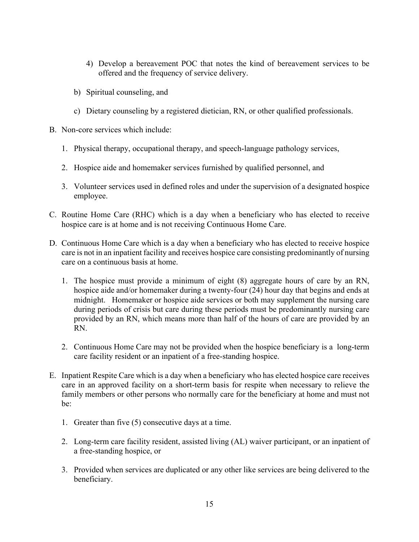- 4) Develop a bereavement POC that notes the kind of bereavement services to be offered and the frequency of service delivery.
- b) Spiritual counseling, and
- c) Dietary counseling by a registered dietician, RN, or other qualified professionals.
- B. Non-core services which include:
	- 1. Physical therapy, occupational therapy, and speech-language pathology services,
	- 2. Hospice aide and homemaker services furnished by qualified personnel, and
	- 3. Volunteer services used in defined roles and under the supervision of a designated hospice employee.
- C. Routine Home Care (RHC) which is a day when a beneficiary who has elected to receive hospice care is at home and is not receiving Continuous Home Care.
- D. Continuous Home Care which is a day when a beneficiary who has elected to receive hospice care is not in an inpatient facility and receives hospice care consisting predominantly of nursing care on a continuous basis at home.
	- 1. The hospice must provide a minimum of eight (8) aggregate hours of care by an RN, hospice aide and/or homemaker during a twenty-four (24) hour day that begins and ends at midnight. Homemaker or hospice aide services or both may supplement the nursing care during periods of crisis but care during these periods must be predominantly nursing care provided by an RN, which means more than half of the hours of care are provided by an RN.
	- 2. Continuous Home Care may not be provided when the hospice beneficiary is a long-term care facility resident or an inpatient of a free-standing hospice.
- E. Inpatient Respite Care which is a day when a beneficiary who has elected hospice care receives care in an approved facility on a short-term basis for respite when necessary to relieve the family members or other persons who normally care for the beneficiary at home and must not be:
	- 1. Greater than five (5) consecutive days at a time.
	- 2. Long-term care facility resident, assisted living (AL) waiver participant, or an inpatient of a free-standing hospice, or
	- 3. Provided when services are duplicated or any other like services are being delivered to the beneficiary.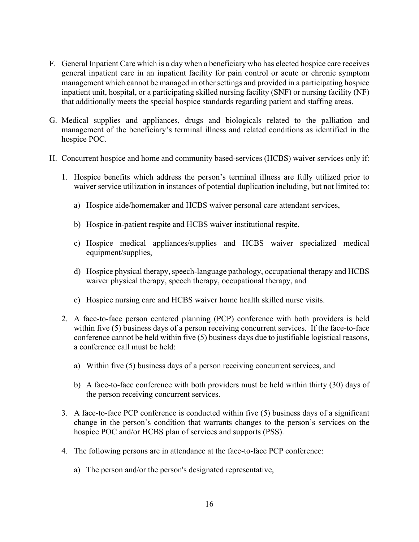- F. General Inpatient Care which is a day when a beneficiary who has elected hospice care receives general inpatient care in an inpatient facility for pain control or acute or chronic symptom management which cannot be managed in other settings and provided in a participating hospice inpatient unit, hospital, or a participating skilled nursing facility (SNF) or nursing facility (NF) that additionally meets the special hospice standards regarding patient and staffing areas.
- G. Medical supplies and appliances, drugs and biologicals related to the palliation and management of the beneficiary's terminal illness and related conditions as identified in the hospice POC.
- H. Concurrent hospice and home and community based-services (HCBS) waiver services only if:
	- 1. Hospice benefits which address the person's terminal illness are fully utilized prior to waiver service utilization in instances of potential duplication including, but not limited to:
		- a) Hospice aide/homemaker and HCBS waiver personal care attendant services,
		- b) Hospice in-patient respite and HCBS waiver institutional respite,
		- c) Hospice medical appliances/supplies and HCBS waiver specialized medical equipment/supplies,
		- d) Hospice physical therapy, speech-language pathology, occupational therapy and HCBS waiver physical therapy, speech therapy, occupational therapy, and
		- e) Hospice nursing care and HCBS waiver home health skilled nurse visits.
	- 2. A face-to-face person centered planning (PCP) conference with both providers is held within five (5) business days of a person receiving concurrent services. If the face-to-face conference cannot be held within five (5) business days due to justifiable logistical reasons, a conference call must be held:
		- a) Within five (5) business days of a person receiving concurrent services, and
		- b) A face-to-face conference with both providers must be held within thirty (30) days of the person receiving concurrent services.
	- 3. A face-to-face PCP conference is conducted within five (5) business days of a significant change in the person's condition that warrants changes to the person's services on the hospice POC and/or HCBS plan of services and supports (PSS).
	- 4. The following persons are in attendance at the face-to-face PCP conference:
		- a) The person and/or the person's designated representative,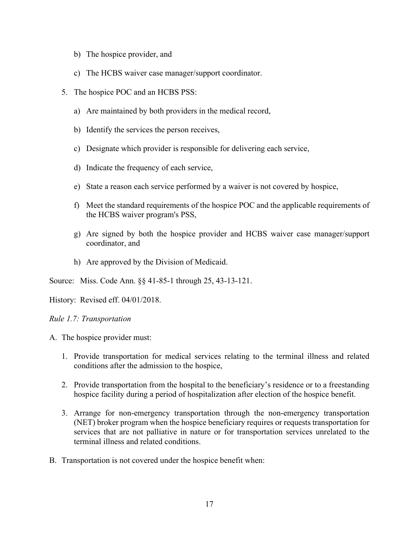- b) The hospice provider, and
- c) The HCBS waiver case manager/support coordinator.
- 5. The hospice POC and an HCBS PSS:
	- a) Are maintained by both providers in the medical record,
	- b) Identify the services the person receives,
	- c) Designate which provider is responsible for delivering each service,
	- d) Indicate the frequency of each service,
	- e) State a reason each service performed by a waiver is not covered by hospice,
	- f) Meet the standard requirements of the hospice POC and the applicable requirements of the HCBS waiver program's PSS,
	- g) Are signed by both the hospice provider and HCBS waiver case manager/support coordinator, and
	- h) Are approved by the Division of Medicaid.

Source: Miss. Code Ann. §§ 41-85-1 through 25, 43-13-121.

History: Revised eff. 04/01/2018.

<span id="page-18-0"></span>*Rule 1.7: Transportation*

- A. The hospice provider must:
	- 1. Provide transportation for medical services relating to the terminal illness and related conditions after the admission to the hospice,
	- 2. Provide transportation from the hospital to the beneficiary's residence or to a freestanding hospice facility during a period of hospitalization after election of the hospice benefit.
	- 3. Arrange for non-emergency transportation through the non-emergency transportation (NET) broker program when the hospice beneficiary requires or requests transportation for services that are not palliative in nature or for transportation services unrelated to the terminal illness and related conditions.
- B. Transportation is not covered under the hospice benefit when: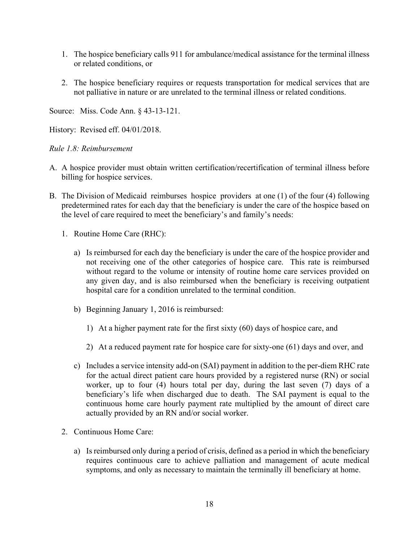- 1. The hospice beneficiary calls 911 for ambulance/medical assistance for the terminal illness or related conditions, or
- 2. The hospice beneficiary requires or requests transportation for medical services that are not palliative in nature or are unrelated to the terminal illness or related conditions.

Source: Miss. Code Ann. § 43-13-121.

History: Revised eff. 04/01/2018.

<span id="page-19-0"></span>*Rule 1.8: Reimbursement*

- A. A hospice provider must obtain written certification/recertification of terminal illness before billing for hospice services.
- B. The Division of Medicaid reimburses hospice providers at one (1) of the four (4) following predetermined rates for each day that the beneficiary is under the care of the hospice based on the level of care required to meet the beneficiary's and family's needs:
	- 1. Routine Home Care (RHC):
		- a) Is reimbursed for each day the beneficiary is under the care of the hospice provider and not receiving one of the other categories of hospice care. This rate is reimbursed without regard to the volume or intensity of routine home care services provided on any given day, and is also reimbursed when the beneficiary is receiving outpatient hospital care for a condition unrelated to the terminal condition.
		- b) Beginning January 1, 2016 is reimbursed:
			- 1) At a higher payment rate for the first sixty (60) days of hospice care, and
			- 2) At a reduced payment rate for hospice care for sixty-one (61) days and over, and
		- c) Includes a service intensity add-on (SAI) payment in addition to the per-diem RHC rate for the actual direct patient care hours provided by a registered nurse (RN) or social worker, up to four (4) hours total per day, during the last seven (7) days of a beneficiary's life when discharged due to death. The SAI payment is equal to the continuous home care hourly payment rate multiplied by the amount of direct care actually provided by an RN and/or social worker.
	- 2. Continuous Home Care:
		- a) Is reimbursed only during a period of crisis, defined as a period in which the beneficiary requires continuous care to achieve palliation and management of acute medical symptoms, and only as necessary to maintain the terminally ill beneficiary at home.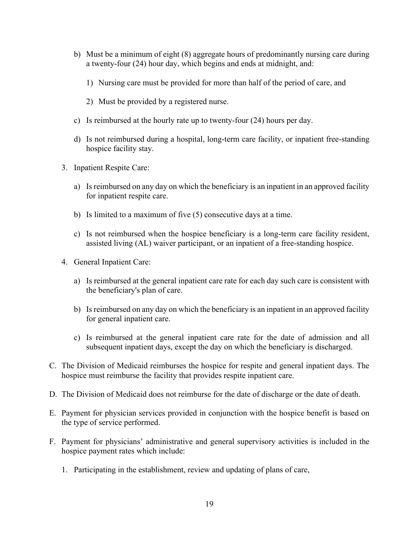- b) Must be a minimum of eight (8) aggregate hours of predominantly nursing care during a twenty-four (24) hour day, which begins and ends at midnight, and:
	- 1) Nursing care must be provided for more than half of the period of care, and
	- 2) Must be provided by a registered nurse.
- c) Is reimbursed at the hourly rate up to twenty-four (24) hours per day.
- d) Is not reimbursed during a hospital, long-term care facility, or inpatient free-standing hospice facility stay.
- 3. Inpatient Respite Care:
	- a) Is reimbursed on any day on which the beneficiary is an inpatient in an approved facility for inpatient respite care.
	- b) Is limited to a maximum of five (5) consecutive days at a time.
	- c) Is not reimbursed when the hospice beneficiary is a long-term care facility resident, assisted living (AL) waiver participant, or an inpatient of a free-standing hospice.
- 4. General Inpatient Care:
	- a) Is reimbursed at the general inpatient care rate for each day such care is consistent with the beneficiary's plan of care.
	- b) Is reimbursed on any day on which the beneficiary is an inpatient in an approved facility for general inpatient care.
	- c) Is reimbursed at the general inpatient care rate for the date of admission and all subsequent inpatient days, except the day on which the beneficiary is discharged.
- C. The Division of Medicaid reimburses the hospice for respite and general inpatient days. The hospice must reimburse the facility that provides respite inpatient care.
- D. The Division of Medicaid does not reimburse for the date of discharge or the date of death.
- E. Payment for physician services provided in conjunction with the hospice benefit is based on the type of service performed.
- F. Payment for physicians' administrative and general supervisory activities is included in the hospice payment rates which include:
	- 1. Participating in the establishment, review and updating of plans of care,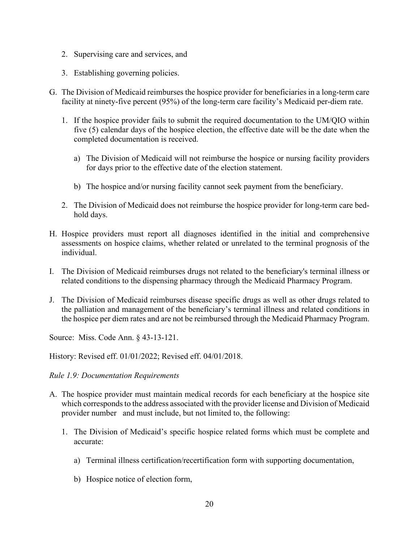- 2. Supervising care and services, and
- 3. Establishing governing policies.
- G. The Division of Medicaid reimburses the hospice provider for beneficiaries in a long-term care facility at ninety-five percent (95%) of the long-term care facility's Medicaid per-diem rate.
	- 1. If the hospice provider fails to submit the required documentation to the UM/QIO within five (5) calendar days of the hospice election, the effective date will be the date when the completed documentation is received.
		- a) The Division of Medicaid will not reimburse the hospice or nursing facility providers for days prior to the effective date of the election statement.
		- b) The hospice and/or nursing facility cannot seek payment from the beneficiary.
	- 2. The Division of Medicaid does not reimburse the hospice provider for long-term care bedhold days.
- H. Hospice providers must report all diagnoses identified in the initial and comprehensive assessments on hospice claims, whether related or unrelated to the terminal prognosis of the individual.
- I. The Division of Medicaid reimburses drugs not related to the beneficiary's terminal illness or related conditions to the dispensing pharmacy through the Medicaid Pharmacy Program.
- J. The Division of Medicaid reimburses disease specific drugs as well as other drugs related to the palliation and management of the beneficiary's terminal illness and related conditions in the hospice per diem rates and are not be reimbursed through the Medicaid Pharmacy Program.

Source: Miss. Code Ann. § 43-13-121.

History: Revised eff. 01/01/2022; Revised eff. 04/01/2018.

#### <span id="page-21-0"></span>*Rule 1.9: Documentation Requirements*

- A. The hospice provider must maintain medical records for each beneficiary at the hospice site which corresponds to the address associated with the provider license and Division of Medicaid provider number and must include, but not limited to, the following:
	- 1. The Division of Medicaid's specific hospice related forms which must be complete and accurate:
		- a) Terminal illness certification/recertification form with supporting documentation,
		- b) Hospice notice of election form,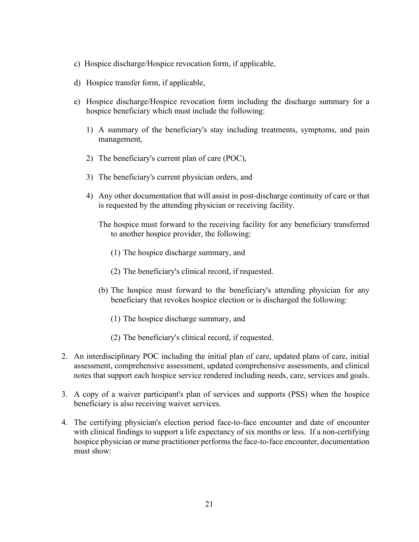- c) Hospice discharge/Hospice revocation form, if applicable,
- d) Hospice transfer form, if applicable,
- e) Hospice discharge/Hospice revocation form including the discharge summary for a hospice beneficiary which must include the following:
	- 1) A summary of the beneficiary's stay including treatments, symptoms, and pain management,
	- 2) The beneficiary's current plan of care (POC),
	- 3) The beneficiary's current physician orders, and
	- 4) Any other documentation that will assist in post-discharge continuity of care or that is requested by the attending physician or receiving facility.
		- The hospice must forward to the receiving facility for any beneficiary transferred to another hospice provider, the following:
			- (1) The hospice discharge summary, and
			- (2) The beneficiary's clinical record, if requested.
		- (b) The hospice must forward to the beneficiary's attending physician for any beneficiary that revokes hospice election or is discharged the following:
			- (1) The hospice discharge summary, and
			- (2) The beneficiary's clinical record, if requested.
- 2. An interdisciplinary POC including the initial plan of care, updated plans of care, initial assessment, comprehensive assessment, updated comprehensive assessments, and clinical notes that support each hospice service rendered including needs, care, services and goals.
- 3. A copy of a waiver participant's plan of services and supports (PSS) when the hospice beneficiary is also receiving waiver services.
- 4. The certifying physician's election period face-to-face encounter and date of encounter with clinical findings to support a life expectancy of six months or less. If a non-certifying hospice physician or nurse practitioner performs the face-to-face encounter, documentation must show: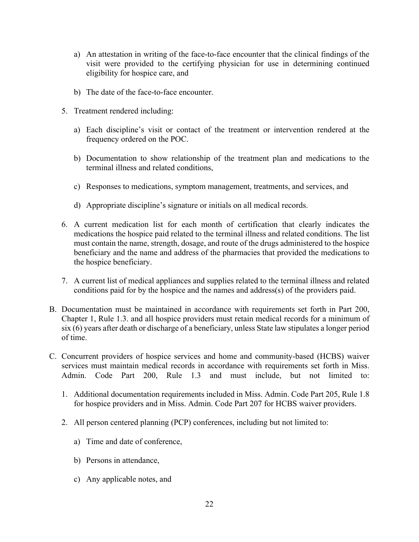- a) An attestation in writing of the face-to-face encounter that the clinical findings of the visit were provided to the certifying physician for use in determining continued eligibility for hospice care, and
- b) The date of the face-to-face encounter.
- 5. Treatment rendered including:
	- a) Each discipline's visit or contact of the treatment or intervention rendered at the frequency ordered on the POC.
	- b) Documentation to show relationship of the treatment plan and medications to the terminal illness and related conditions,
	- c) Responses to medications, symptom management, treatments, and services, and
	- d) Appropriate discipline's signature or initials on all medical records.
- 6. A current medication list for each month of certification that clearly indicates the medications the hospice paid related to the terminal illness and related conditions. The list must contain the name, strength, dosage, and route of the drugs administered to the hospice beneficiary and the name and address of the pharmacies that provided the medications to the hospice beneficiary.
- 7. A current list of medical appliances and supplies related to the terminal illness and related conditions paid for by the hospice and the names and address(s) of the providers paid.
- B. Documentation must be maintained in accordance with requirements set forth in Part 200, Chapter 1, Rule 1.3. and all hospice providers must retain medical records for a minimum of six (6) years after death or discharge of a beneficiary, unless State law stipulates a longer period of time.
- C. Concurrent providers of hospice services and home and community-based (HCBS) waiver services must maintain medical records in accordance with requirements set forth in Miss. Admin. Code Part 200, Rule 1.3 and must include, but not limited to:
	- 1. Additional documentation requirements included in Miss. Admin. Code Part 205, Rule 1.8 for hospice providers and in Miss. Admin. Code Part 207 for HCBS waiver providers.
	- 2. All person centered planning (PCP) conferences, including but not limited to:
		- a) Time and date of conference,
		- b) Persons in attendance,
		- c) Any applicable notes, and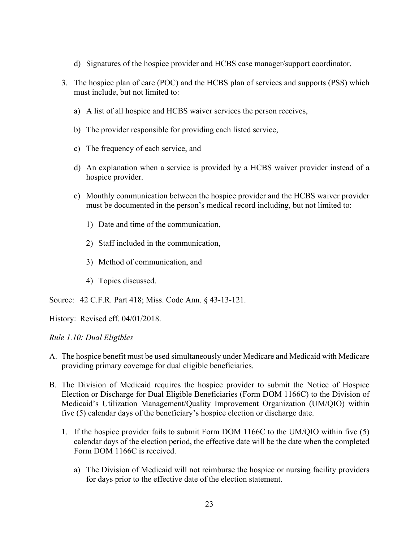- d) Signatures of the hospice provider and HCBS case manager/support coordinator.
- 3. The hospice plan of care (POC) and the HCBS plan of services and supports (PSS) which must include, but not limited to:
	- a) A list of all hospice and HCBS waiver services the person receives,
	- b) The provider responsible for providing each listed service,
	- c) The frequency of each service, and
	- d) An explanation when a service is provided by a HCBS waiver provider instead of a hospice provider.
	- e) Monthly communication between the hospice provider and the HCBS waiver provider must be documented in the person's medical record including, but not limited to:
		- 1) Date and time of the communication,
		- 2) Staff included in the communication,
		- 3) Method of communication, and
		- 4) Topics discussed.

Source: 42 C.F.R. Part 418; Miss. Code Ann. § 43-13-121.

History: Revised eff. 04/01/2018.

### <span id="page-24-0"></span>*Rule 1.10: Dual Eligibles*

- A. The hospice benefit must be used simultaneously under Medicare and Medicaid with Medicare providing primary coverage for dual eligible beneficiaries.
- B. The Division of Medicaid requires the hospice provider to submit the Notice of Hospice Election or Discharge for Dual Eligible Beneficiaries (Form DOM 1166C) to the Division of Medicaid's Utilization Management/Quality Improvement Organization (UM/QIO) within five (5) calendar days of the beneficiary's hospice election or discharge date.
	- 1. If the hospice provider fails to submit Form DOM 1166C to the UM/QIO within five (5) calendar days of the election period, the effective date will be the date when the completed Form DOM 1166C is received.
		- a) The Division of Medicaid will not reimburse the hospice or nursing facility providers for days prior to the effective date of the election statement.